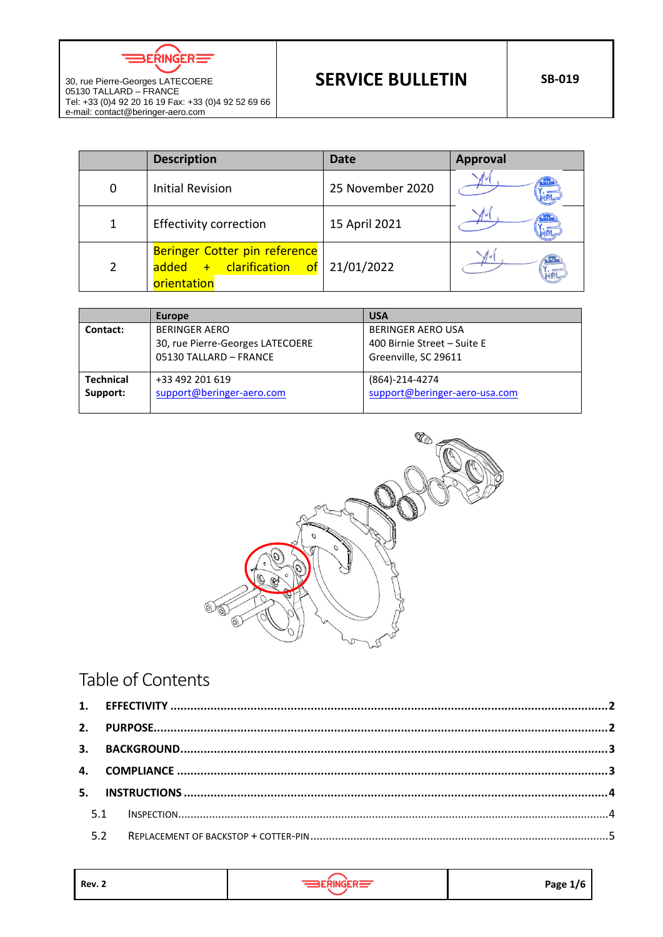$BERINGER \equiv$ 

30, rue Pierre-Georges LATECOERE 05130 TALLARD – FRANCE

e-mail: contact@beringer-aero.com

|   | <b>Description</b>                                                       | Date             | <b>Approval</b> |
|---|--------------------------------------------------------------------------|------------------|-----------------|
| 0 | <b>Initial Revision</b>                                                  | 25 November 2020 |                 |
|   | <b>Effectivity correction</b>                                            | 15 April 2021    |                 |
|   | Beringer Cotter pin reference<br>added + clarification of<br>orientation | 21/01/2022       |                 |

| Europe                                                   | <b>USA</b>                                                                      |  |
|----------------------------------------------------------|---------------------------------------------------------------------------------|--|
| <b>BERINGER AERO</b><br>30, rue Pierre-Georges LATECOERE | <b>BERINGER AERO USA</b><br>400 Birnie Street - Suite E<br>Greenville, SC 29611 |  |
|                                                          |                                                                                 |  |
| +33 492 201 619<br>support@beringer-aero.com             | (864)-214-4274<br>support@beringer-aero-usa.com                                 |  |
|                                                          | 05130 TALLARD - FRANCE                                                          |  |



# Table of Contents

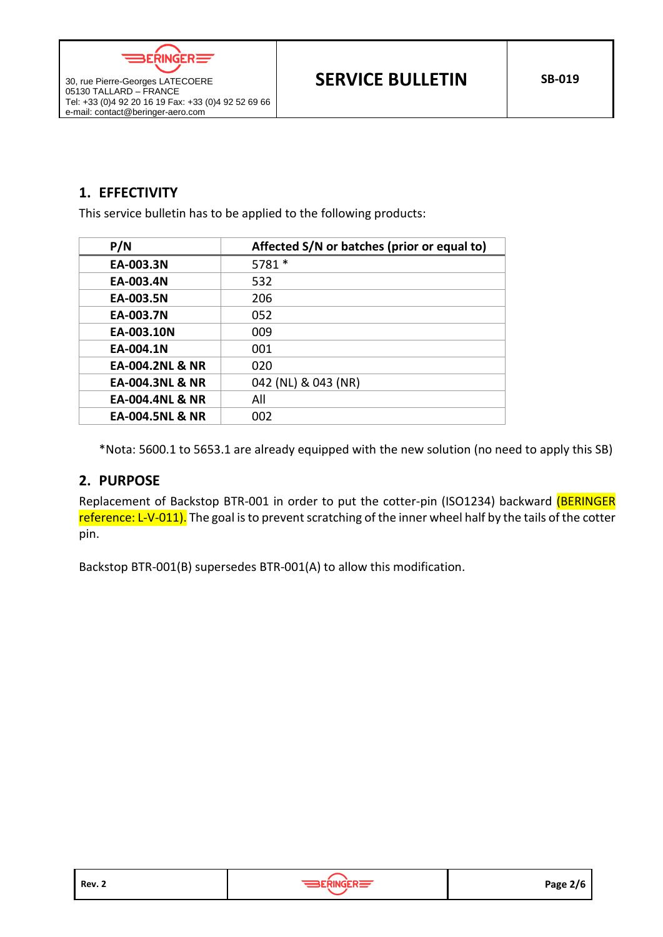$BERINGER =$ 

# <span id="page-1-0"></span>**1. EFFECTIVITY**

30, rue Pierre-Georges LATECOERE 05130 TALLARD – FRANCE

e-mail: contact@beringer-aero.com

This service bulletin has to be applied to the following products:

| P/N                        | Affected S/N or batches (prior or equal to) |
|----------------------------|---------------------------------------------|
| EA-003.3N                  | 5781 *                                      |
| EA-003.4N                  | 532                                         |
| EA-003.5N                  | 206                                         |
| EA-003.7N                  | 052                                         |
| EA-003.10N                 | 009                                         |
| EA-004.1N                  | 001                                         |
| <b>EA-004.2NL &amp; NR</b> | 020                                         |
| EA-004.3NL & NR            | 042 (NL) & 043 (NR)                         |
| EA-004.4NL & NR            | All                                         |
| <b>EA-004.5NL &amp; NR</b> | 002                                         |

\*Nota: 5600.1 to 5653.1 are already equipped with the new solution (no need to apply this SB)

## <span id="page-1-1"></span>**2. PURPOSE**

Replacement of Backstop BTR-001 in order to put the cotter-pin (ISO1234) backward (BERINGER reference: L-V-011). The goal is to prevent scratching of the inner wheel half by the tails of the cotter pin.

Backstop BTR-001(B) supersedes BTR-001(A) to allow this modification.

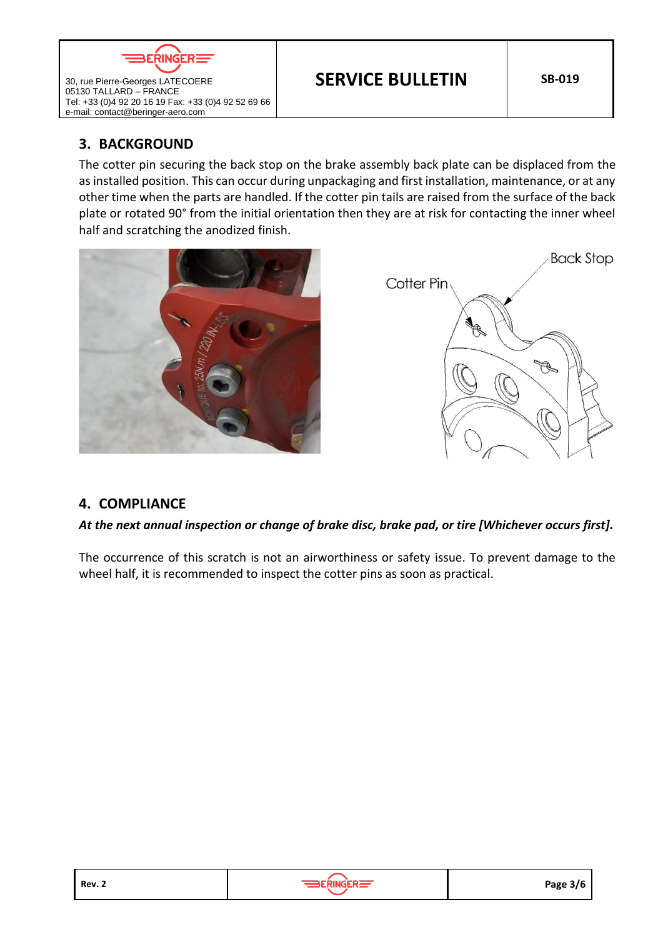

**SERVICE BULLETIN** SB-019

## <span id="page-2-0"></span>**3. BACKGROUND**

e-mail: contact@beringer-aero.com

30, rue Pierre-Georges LATECOERE 05130 TALLARD – FRANCE

The cotter pin securing the back stop on the brake assembly back plate can be displaced from the as installed position. This can occur during unpackaging and first installation, maintenance, or at any other time when the parts are handled. If the cotter pin tails are raised from the surface of the back plate or rotated 90° from the initial orientation then they are at risk for contacting the inner wheel half and scratching the anodized finish.





## <span id="page-2-1"></span>**4. COMPLIANCE**

## *At the next annual inspection or change of brake disc, brake pad, or tire [Whichever occurs first].*

The occurrence of this scratch is not an airworthiness or safety issue. To prevent damage to the wheel half, it is recommended to inspect the cotter pins as soon as practical.



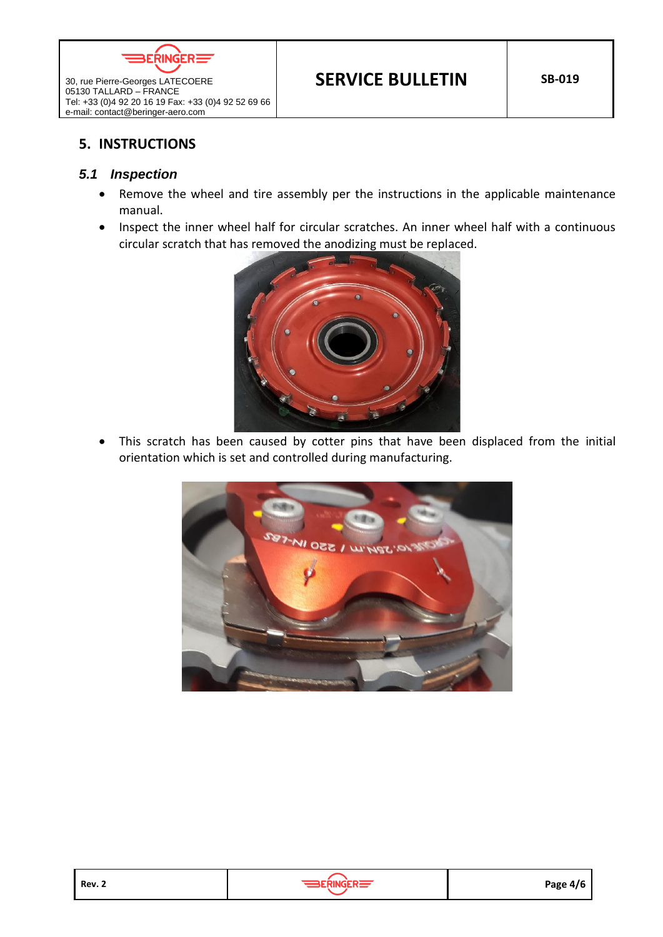

## <span id="page-3-0"></span>**5. INSTRUCTIONS**

30, rue Pierre-Georges LATECOERE 05130 TALLARD – FRANCE

e-mail: contact@beringer-aero.com

#### <span id="page-3-1"></span>*5.1 Inspection*

- Remove the wheel and tire assembly per the instructions in the applicable maintenance manual.
- Inspect the inner wheel half for circular scratches. An inner wheel half with a continuous circular scratch that has removed the anodizing must be replaced.



• This scratch has been caused by cotter pins that have been displaced from the initial orientation which is set and controlled during manufacturing.



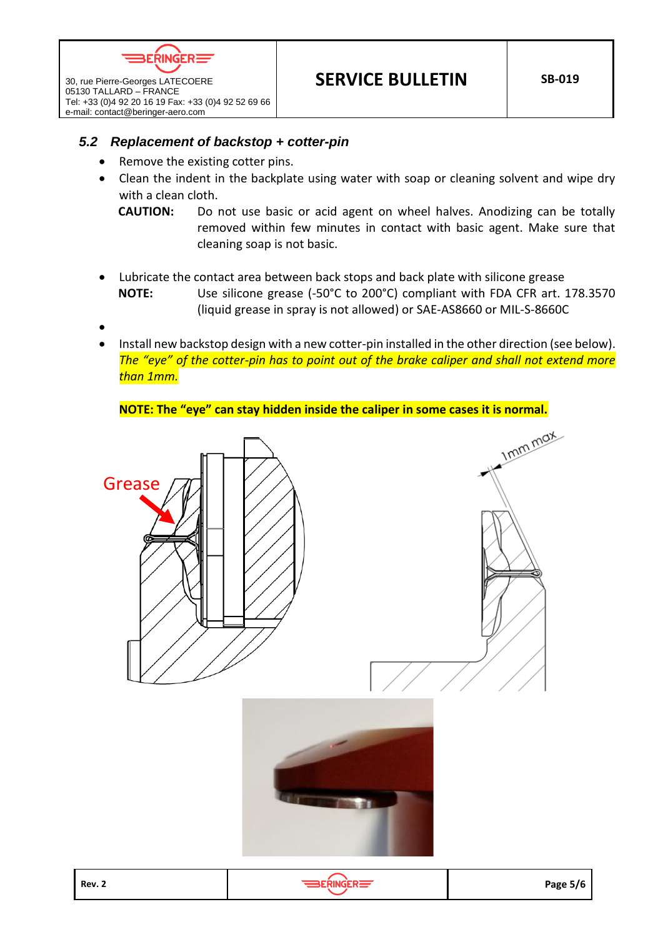

30, rue Pierre-Georges LATECOERE 05130 TALLARD – FRANCE

e-mail: contact@beringer-aero.com

## <span id="page-4-0"></span>*5.2 Replacement of backstop + cotter-pin*

- Remove the existing cotter pins.
- Clean the indent in the backplate using water with soap or cleaning solvent and wipe dry with a clean cloth.
	- **CAUTION:** Do not use basic or acid agent on wheel halves. Anodizing can be totally removed within few minutes in contact with basic agent. Make sure that cleaning soap is not basic.
- Lubricate the contact area between back stops and back plate with silicone grease **NOTE:** Use silicone grease (-50°C to 200°C) compliant with FDA CFR art. 178.3570 (liquid grease in spray is not allowed) or SAE-AS8660 or MIL-S-8660C
- •
- Install new backstop design with a new cotter-pin installed in the other direction (see below). *The "eye" of the cotter-pin has to point out of the brake caliper and shall not extend more than 1mm.*

#### **NOTE: The "eye" can stay hidden inside the caliper in some cases it is normal.**